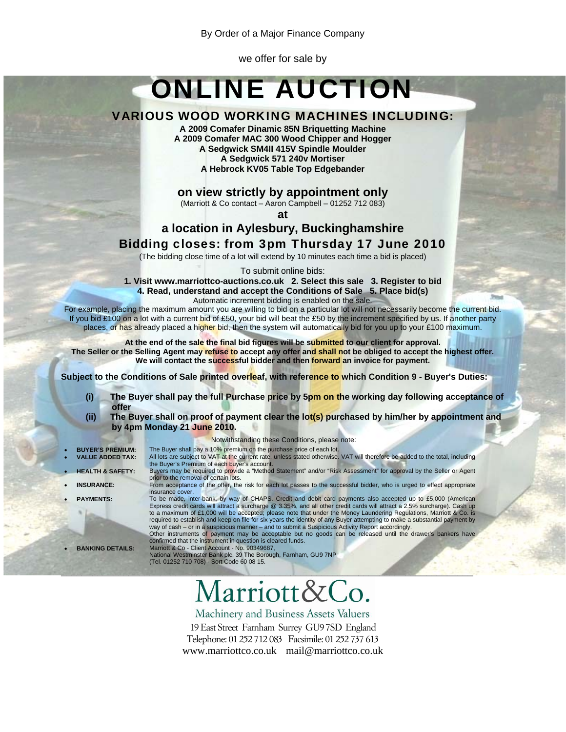By Order of a Major Finance Company

we offer for sale by

# ONLINE AUCTION

# VARIOUS WOOD WORKING MACHINES INCLUDING:

**A 2009 Comafer Dinamic 85N Briquetting Machine A 2009 Comafer MAC 300 Wood Chipper and Hogger A Sedgwick SM4II 415V Spindle Moulder A Sedgwick 571 240v Mortiser A Hebrock KV05 Table Top Edgebander** 

**on view strictly by appointment only**

(Marriott & Co contact – Aaron Campbell – 01252 712 083)

**at** 

# **a location in Aylesbury, Buckinghamshire**

# Bidding closes: from 3pm Thursday 17 June 2010

(The bidding close time of a lot will extend by 10 minutes each time a bid is placed)

To submit online bids:

**1. Visit www.marriottco-auctions.co.uk 2. Select this sale 3. Register to bid 4. Read, understand and accept the Conditions of Sale 5. Place bid(s)** 

Automatic increment bidding is enabled on the sale.

For example, placing the maximum amount you are willing to bid on a particular lot will not necessarily become the current bid. If you bid £100 on a lot with a current bid of £50, your bid will beat the £50 by the increment specified by us. If another party places, or has already placed a higher bid, then the system will automatically bid for you up to your £100 maximum.

At the end of the sale the final bid figures will be submitted to our client for approval. **The Seller or the Selling Agent may refuse to accept any offer and shall not be obliged to accept the highest offer. We will contact the successful bidder and then forward an invoice for payment.**

**Subject to the Conditions of Sale printed overleaf, with reference to which Condition 9 - Buyer's Duties:** 

- **(i) The Buyer shall pay the full Purchase price by 5pm on the working day following acceptance of offer**
- **(ii) The Buyer shall on proof of payment clear the lot(s) purchased by him/her by appointment and by 4pm Monday 21 June 2010.**
- 
- 
- 
- 
- 

Notwithstanding these Conditions, please note:

- **BUYER'S PREMIUM:** The Buyer shall pay a 10% premium on the purchase price of each lot.<br>VALUE ADDED TAX: All lots are subject to VAT at the current rate, unless stated otherwise. • **VALUE ADDED TAX:** All lots are subject to VAT at the current rate, unless stated otherwise. VAT will therefore be added to the total, including the Buyer's Premium of each buyer's account. • **HEALTH & SAFETY:** Buyers may be required to provide a "Method Statement" and/or "Risk Assessment" for approval by the Seller or Agent
- prior to the removal of certain lots. • **INSURANCE:** From acceptance of the offer, the risk for each lot passes to the successful bidder, who is urged to effect appropriate insurance cover.

**PAYMENTS:** To be made, inter-bank, by way of CHAPS. Credit and debit card payments also accepted up to £5,000 (American<br>Express credit cards will attract a surcharge @ 3.35%, and all other credit cards will attract a 2.5% required to establish and keep on file for six years the identity of any Buyer attempting to make a substantial payment by way of cash – or in a suspicious manner – and to submit a Suspicious Activity Report accordingly.

Other instruments of payment may be acceptable but no goods can be released until the drawer's bankers have confirmed that the instrument in question is cleared funds.

• **BANKING DETAILS:** Marriott & Co - Client Account - No. 90349687, National Westminster Bank plc, 39 The Borough, Farnham, GU9 7NP (Tel. 01252 710 708) - Sort Code 60 08 15.

# larriott&Co.

\_\_\_\_\_\_\_\_\_\_\_\_\_\_\_\_\_\_\_\_\_\_\_\_\_\_\_\_\_\_\_\_\_\_\_\_\_\_\_\_\_\_\_\_\_\_\_\_\_\_\_\_\_\_\_\_\_\_\_\_\_\_\_\_\_\_\_\_\_\_\_\_\_\_\_\_\_\_\_

Machinery and Business Assets Valuers

19 East Street Farnham Surrey GU97SD England Telephone: 01 252 712 083 Facsimile: 01 252 737 613 www.marriottco.co.uk mail@marriottco.co.uk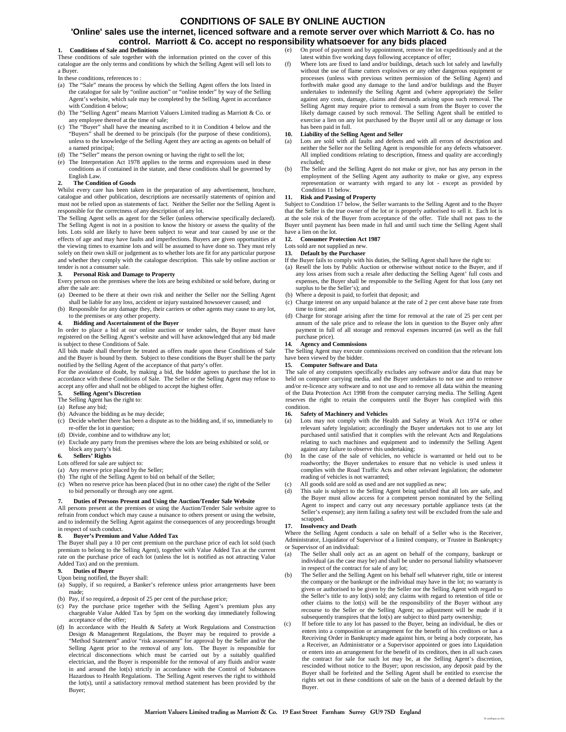# **CONDITIONS OF SALE BY ONLINE AUCTION**

## **'Online' sales use the internet, licenced software and a remote server over which Marriott & Co. has no control. Marriott & Co. accept no responsibility whatsoever for any bids placed**

#### **1. Conditions of Sale and Definitions**

These conditions of sale together with the information printed on the cover of this catalogue are the only terms and conditions by which the Selling Agent will sell lots to a Buyer.

In these conditions, references to :

- (a) The "Sale" means the process by which the Selling Agent offers the lots listed in the catalogue for sale by "online auction" or "online tender" by way of the Selling Agent's website, which sale may be completed by the Selling Agent in accordance with Condition 4 below;
- (b) The "Selling Agent" means Marriott Valuers Limited trading as Marriott & Co. or any employee thereof at the time of sale;
- (c) The "Buyer" shall have the meaning ascribed to it in Condition 4 below and the "Buyers" shall be deemed to be principals (for the purpose of these conditions), unless to the knowledge of the Selling Agent they are acting as agents on behalf of a named principal;
- (d) The "Seller" means the person owning or having the right to sell the lot;
- (e) The Interpretation Act 1978 applies to the terms and expressions used in these conditions as if contained in the statute, and these conditions shall be governed by English Law.

#### **2. The Condition of Goods**

Whilst every care has been taken in the preparation of any advertisement, brochure, catalogue and other publication, descriptions are necessarily statements of opinion and must not be relied upon as statements of fact. Neither the Seller nor the Selling Agent is responsible for the correctness of any description of any lot.

The Selling Agent sells as agent for the Seller (unless otherwise specifically declared). The Selling Agent is not in a position to know the history or assess the quality of the lots. Lots sold are likely to have been subject to wear and tear caused by use or the effects of age and may have faults and imperfections. Buyers are given opportunities at the viewing times to examine lots and will be assumed to have done so. They must rely solely on their own skill or judgement as to whether lots are fit for any particular purpose and whether they comply with the catalogue description. This sale by online auction or tender is not a consumer sale.

**3. Personal Risk and Damage to Property** Every person on the premises where the lots are being exhibited or sold before, during or after the sale are:

- (a) Deemed to be there at their own risk and neither the Seller nor the Selling Agent
- shall be liable for any loss, accident or injury sustained howsoever caused; and (b) Responsible for any damage they, their carriers or other agents may cause to any lot, to the premises or any other property.

#### **4. Bidding and Ascertainment of the Buyer**

In order to place a bid at our online auction or tender sales, the Buyer must have registered on the Selling Agent's website and will have acknowledged that any bid made is subject to these Conditions of Sale.

All bids made shall therefore be treated as offers made upon these Conditions of Sale and the Buyer is bound by them. Subject to these conditions the Buyer shall be the party notified by the Selling Agent of the acceptance of that party's offer.

For the avoidance of doubt, by making a bid, the bidder agrees to purchase the lot in accordance with these Conditions of Sale. The Seller or the Selling Agent may refuse to accept any offer and shall not be obliged to accept the highest offer.

#### **5. Selling Agent's Discretion**

The Selling Agent has the right to:

- (a) Refuse any bid;
- (b) Advance the bidding as he may decide;
- (c) Decide whether there has been a dispute as to the bidding and, if so, immediately to re-offer the lot in question;
- (d) Divide, combine and to withdraw any lot;
- (e) Exclude any party from the premises where the lots are being exhibited or sold, or block any party's bid.

### **6. Sellers' Rights**

#### Lots offered for sale are subject to:

- (a) Any reserve price placed by the Seller;
- (b) The right of the Selling Agent to bid on behalf of the Seller;
- (c) When no reserve price has been placed (but in no other case) the right of the Seller to bid personally or through any one agent.

#### **7. Duties of Persons Present and Using the Auction/Tender Sale Website**

All persons present at the premises or using the Auction/Tender Sale website agree to refrain from conduct which may cause a nuisance to others present or using the website, and to indemnify the Selling Agent against the consequences of any proceedings brought in respect of such conduct.

#### **8. Buyer's Premium and Value Added Tax**

The Buyer shall pay a 10 per cent premium on the purchase price of each lot sold (such premium to belong to the Selling Agent), together with Value Added Tax at the current rate on the purchase price of each lot (unless the lot is notified as not attracting Value Added Tax) and on the premium.

## **9. Duties of Buyer**

Upon being notified, the Buyer shall:

- (a) Supply, if so required, a Banker's reference unless prior arrangements have been made;
- (b) Pay, if so required, a deposit of 25 per cent of the purchase price;
- (c) Pay the purchase price together with the Selling Agent's premium plus any chargeable Value Added Tax by 5pm on the working day immediately following acceptance of the offer;
- (d) In accordance with the Health & Safety at Work Regulations and Construction Design & Management Regulations, the Buyer may be required to provide a "Method Statement" and/or "risk assessment" for approval by the Seller and/or the Selling Agent prior to the removal of any lots. The Buyer is responsible for electrical disconnections which must be carried out by a suitably qualified electrician, and the Buyer is responsible for the removal of any fluids and/or waste in and around the lot(s) strictly in accordance with the Control of Substances Hazardous to Health Regulations. The Selling Agent reserves the right to withhold the lot(s), until a satisfactory removal method statement has been provided by the Buyer;
- (e) On proof of payment and by appointment, remove the lot expeditiously and at the latest within five working days following acceptance of offer;
- (f) Where lots are fixed to land and/or buildings, detach such lot safely and lawfully without the use of flame cutters explosives or any other dangerous equipment or processes (unless with previous written permission of the Selling Agent) and forthwith make good any damage to the land and/or buildings and the Buyer undertakes to indemnify the Selling Agent and (where appropriate) the Seller against any costs, damage, claims and demands arising upon such removal. The Selling Agent may require prior to removal a sum from the Buyer to cover the likely damage caused by such removal. The Selling Agent shall be entitled to exercise a lien on any lot purchased by the Buyer until all or any damage or loss has been paid in full.

#### **10. Liability of the Selling Agent and Seller**

- Lots are sold with all faults and defects and with all errors of description and neither the Seller nor the Selling Agent is responsible for any defects whatsoever. All implied conditions relating to description, fitness and quality are accordingly excluded;
- (b) The Seller and the Selling Agent do not make or give, nor has any person in the employment of the Selling Agent any authority to make or give, any express representation or warranty with regard to any lot - except as provided by Condition 11 below.

### **11. Risk and Passing of Property**

Subject to Condition 17 below, the Seller warrants to the Selling Agent and to the Buyer that the Seller is the true owner of the lot or is properly authorised to sell it. Each lot is at the sole risk of the Buyer from acceptance of the offer. Title shall not pass to the Buyer until payment has been made in full and until such time the Selling Agent shall have a lien on the lot.

#### **12. Consumer Protection Act 1987**

Lots sold are not supplied as new

**13. Default by the Purchaser**

- If the Buyer fails to comply with his duties, the Selling Agent shall have the right to:
- (a) Resell the lots by Public Auction or otherwise without notice to the Buyer, and if any loss arises from such a resale after deducting the Selling Agent' full costs and expenses, the Buyer shall be responsible to the Selling Agent for that loss (any net surplus to be the Seller's); and
- (b) Where a deposit is paid, to forfeit that deposit; and
- (c) Charge interest on any unpaid balance at the rate of 2 per cent above base rate from time to time; and
- (d) Charge for storage arising after the time for removal at the rate of 25 per cent per annum of the sale price and to release the lots in question to the Buyer only after payment in full of all storage and removal expenses incurred (as well as the full purchase price).

#### **14. Agency and Commissions**

The Selling Agent may execute commissions received on condition that the relevant lots have been viewed by the bidder

#### **15. Computer Software and Data**

The sale of any computers specifically excludes any software and/or data that may be held on computer carrying media, and the Buyer undertakes to not use and to remove and/or re-licence any software and to not use and to remove all data within the meaning of the Data Protection Act 1998 from the computer carrying media. The Selling Agent reserves the right to retain the computers until the Buyer has complied with this condition.

#### **16. Safety of Machinery and Vehicles**

- (a) Lots may not comply with the Health and Safety at Work Act 1974 or other relevant safety legislation; accordingly the Buyer undertakes not to use any lot purchased until satisfied that it complies with the relevant Acts and Regulations relating to such machines and equipment and to indemnify the Selling Agent against any failure to observe this undertaking;
- (b) In the case of the sale of vehicles, no vehicle is warranted or held out to be roadworthy; the Buyer undertakes to ensure that no vehicle is used unless it complies with the Road Traffic Acts and other relevant legislation; the odometer reading of vehicles is not warranted;
- (c) All goods sold are sold as used and are not supplied as new;
- (d) This sale is subject to the Selling Agent being satisfied that all lots are safe, and the Buyer must allow access for a competent person nominated by the Selling Agent to inspect and carry out any necessary portable appliance tests (at the Seller's expense); any item failing a safety test will be excluded from the sale and scrapped.

#### **17. Insolvency and Death**

Where the Selling Agent conducts a sale on behalf of a Seller who is the Receiver, Administrator, Liquidator of Supervisor of a limited company, or Trustee in Bankruptcy or Supervisor of an individual:

- (a) The Seller shall only act as an agent on behalf of the company, bankrupt or individual (as the case may be) and shall be under no personal liability whatsoever in respect of the contract for sale of any lot;
- (b) The Seller and the Selling Agent on his behalf sell whatever right, title or interest the company or the bankrupt or the individual may have in the lot; no warranty is given or authorised to be given by the Seller nor the Selling Agent with regard to the Seller's title to any lot(s) sold; any claims with regard to retention of title or other claims to the lot(s) will be the responsibility of the Buyer without any recourse to the Seller or the Selling Agent; no adjustment will be made if it subsequently transpires that the lot(s) are subject to third party ownership;
- If before title to any lot has passed to the Buyer, being an individual, he dies or enters into a composition or arrangement for the benefit of his creditors or has a Receiving Order in Bankruptcy made against him, or being a body corporate, has a Receiver, an Administrator or a Supervisor appointed or goes into Liquidation or enters into an arrangement for the benefit of its creditors, then in all such cases the contract for sale for such lot may be, at the Selling Agent's discretion, rescinded without notice to the Buyer; upon rescission, any deposit paid by the Buyer shall be forfeited and the Selling Agent shall be entitled to exercise the rights set out in these conditions of sale on the basis of a deemed default by the Buyer.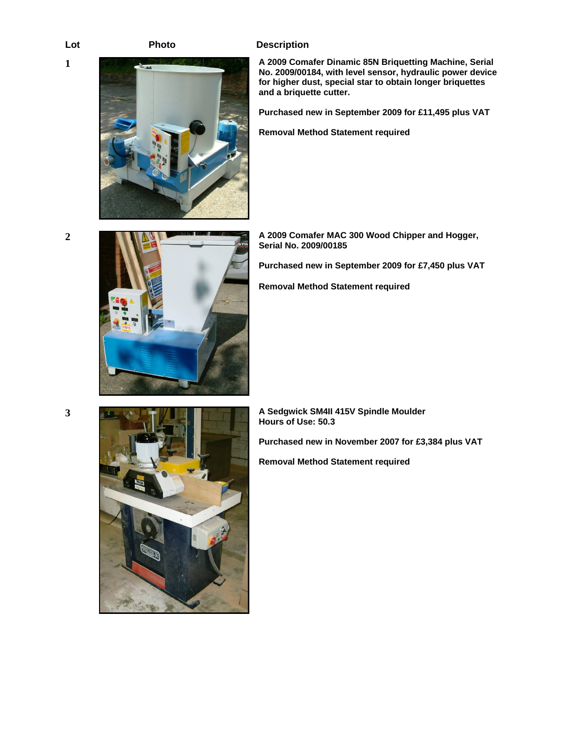# Lot **Photo Description**

**1 A 2009 Comafer Dinamic 85N Briquetting Machine, Serial No. 2009/00184, with level sensor, hydraulic power device for higher dust, special star to obtain longer briquettes and a briquette cutter.** 

**Purchased new in September 2009 for £11,495 plus VAT** 

**Removal Method Statement required** 



**2 A 2009 Comafer MAC 300 Wood Chipper and Hogger, Serial No. 2009/00185** 

**Purchased new in September 2009 for £7,450 plus VAT** 

**Removal Method Statement required** 



**3 A Sedgwick SM4II 415V Spindle Moulder Hours of Use: 50.3** 

**Purchased new in November 2007 for £3,384 plus VAT** 

**Removal Method Statement required**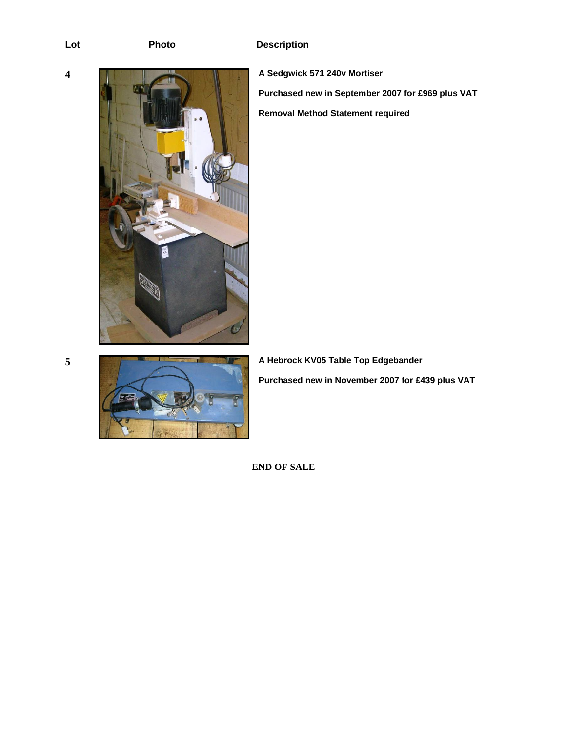

**Purchased new in September 2007 for £969 plus VAT Removal Method Statement required** 

**A Hebrock KV05 Table Top Edgebander A Hebrock KV05 Table Top Edgebander Purchased new in November 2007 for £439 plus VAT** 

**END OF SALE**